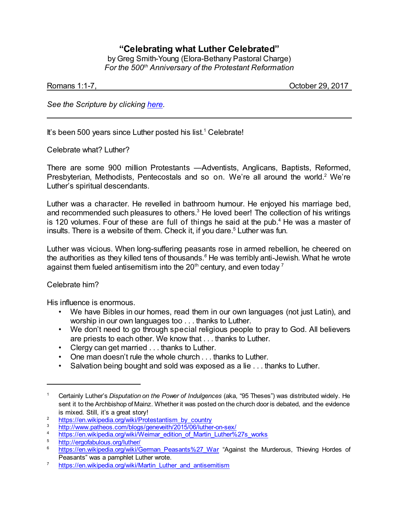# **"Celebrating what Luther Celebrated"**

by Greg Smith-Young (Elora-Bethany Pastoral Charge) *For the 500th Anniversary of the Protestant Reformation*

Romans 1:1-7, October 29, 2017

*See the Scripture by clicking [here](https://www.biblegateway.com/passage/?search=Romans+1%3A1-7%2C14-17&version=NRSVA).*

It's been 500 years since Luther posted his list.<sup>1</sup> Celebrate!

Celebrate what? Luther?

There are some 900 million Protestants —Adventists, Anglicans, Baptists, Reformed, Presbyterian, Methodists, Pentecostals and so on. We're all around the world.<sup>2</sup> We're Luther's spiritual descendants.

Luther was a character. He revelled in bathroom humour. He enjoyed his marriage bed, and recommended such pleasures to others.<sup>3</sup> He loved beer! The collection of his writings is 120 volumes. Four of these are full of things he said at the pub.<sup>4</sup> He was a master of insults. There is a website of them. Check it, if you dare.<sup>5</sup> Luther was fun.

Luther was vicious. When long-suffering peasants rose in armed rebellion, he cheered on the authorities as they killed tens of thousands.*<sup>6</sup>* He was terribly anti-Jewish. What he wrote against them fueled antisemitism into the  $20<sup>th</sup>$  century, and even today  $<sup>7</sup>$ </sup>

## Celebrate him?

His influence is enormous.

- We have Bibles in our homes, read them in our own languages (not just Latin), and worship in our own languages too . . . thanks to Luther.
- We don't need to go through special religious people to pray to God. All believers are priests to each other. We know that . . . thanks to Luther.
- Clergy can get married . . . thanks to Luther.
- One man doesn't rule the whole church . . . thanks to Luther.
- Salvation being bought and sold was exposed as a lie . . . thanks to Luther.

<sup>1</sup> Certainly Luther's *Disputation on the Power of Indulgences* (aka, "95 Theses") was distributed widely. He sent it to the Archbishop of Mainz. Whether it was posted on the church door is debated, and the evidence is mixed. Still, it's a great story!

<sup>&</sup>lt;sup>2</sup> [https://en.wikipedia.org/wiki/Protestantism\\_by\\_country](https://en.wikipedia.org/wiki/Protestantism_by_country)<br>3 https://www.pathoes.com/blans/generality/2015/00/luthan

<sup>&</sup>lt;sup>3</sup> <http://www.patheos.com/blogs/geneveith/2015/06/luther-on-sex/><br><sup>4</sup> https://on.ujkinodio.org/ujki/Mojmer.odition.of.Mertin.Luther%

<sup>&</sup>lt;sup>4</sup> [https://en.wikipedia.org/wiki/Weimar\\_edition\\_of\\_Martin\\_Luther%27s\\_works](https://en.wikipedia.org/wiki/Weimar_edition_of_Martin_Luther%27s_works)

<sup>&</sup>lt;sup>5</sup> <http://ergofabulous.org/luther/>

[https://en.wikipedia.org/wiki/German\\_Peasants%27\\_War](https://en.wikipedia.org/wiki/German_Peasants%27_War) "Against the Murderous, Thieving Hordes of Peasants" was a pamphlet Luther wrote.

<sup>&</sup>lt;sup>7</sup> [https://en.wikipedia.org/wiki/Martin\\_Luther\\_and\\_antisemitism](https://en.wikipedia.org/wiki/Martin_Luther_and_antisemitism)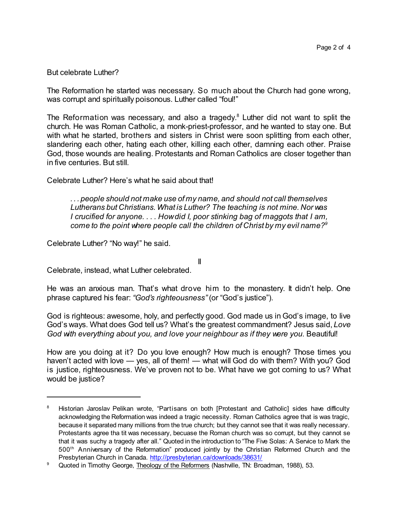### But celebrate Luther?

The Reformation he started was necessary. So much about the Church had gone wrong, was corrupt and spiritually poisonous. Luther called "foul!"

The Reformation was necessary, and also a tragedy.<sup>8</sup> Luther did not want to split the church. He was Roman Catholic, a monk-priest-professor, and he wanted to stay one. But with what he started, brothers and sisters in Christ were soon splitting from each other, slandering each other, hating each other, killing each other, damning each other. Praise God, those wounds are healing. Protestants and Roman Catholics are closer together than in five centuries. But still.

Celebrate Luther? Here's what he said about that!

*. . . people should not make use of my name, and should not call themselves Lutherans but Christians.What is Luther? The teaching is not mine. Nor was I crucified for anyone. . . . Howdid I, poor stinking bag of maggots that I am, come to the point where people call the children of Christ by my evil name?<sup>9</sup>*

Celebrate Luther? "No way!" he said.

II

Celebrate, instead, what Luther celebrated.

He was an anxious man. That's what drove him to the monastery. It didn't help. One phrase captured his fear: *"God's righteousness"* (or "God's justice").

God is righteous: awesome, holy, and perfectly good. God made us in God's image, to live God's ways. What does God tell us? What's the greatest commandment? Jesus said, *Love God with everything about you, and love your neighbour as if they were you.* Beautiful!

How are you doing at it? Do you love enough? How much is enough? Those times you haven't acted with love — yes, all of them! — what will God do with them? With you? God is justice, righteousness. We've proven not to be. What have we got coming to us? What would be justice?

<sup>&</sup>lt;sup>8</sup> Historian Jaroslav Pelikan wrote, "Partisans on both [Protestant and Catholic] sides have difficulty acknowledging the Reformation was indeed a tragic necessity. Roman Catholics agree that is was tragic, because it separated many millions from the true church; but they cannot see that it was really necessary. Protestants agree tha tit was necessary, becuase the Roman church was so corrupt, but they cannot se that it was suchy a tragedy after all." Quoted in the introduction to "The Five Solas: A Service to Mark the 500 th Anniversary of the Reformation" produced jointly by the Christian Reformed Church and the Presbyterian Church in Canada. <http://presbyterian.ca/downloads/38631/>

<sup>&</sup>lt;sup>9</sup> Quoted in Timothy George, Theology of the Reformers (Nashville, TN: Broadman, 1988), 53.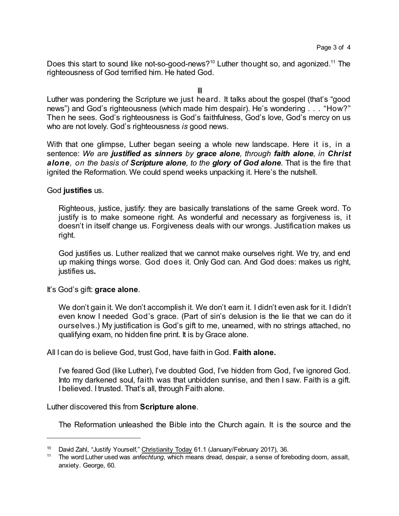Does this start to sound like not-so-good-news?<sup>10</sup> Luther thought so, and agonized.<sup>11</sup> The righteousness of God terrified him. He hated God.

III

Luther was pondering the Scripture we just heard. It talks about the gospel (that's "good news") and God's righteousness (which made him despair). He's wondering . . . "How?" Then he sees. God's righteousness is God's faithfulness, God's love, God's mercy on us who are not lovely. God's righteousness *is* good news.

With that one glimpse, Luther began seeing a whole new landscape. Here it is, in a sentence: *We are justified as sinners by grace alone, through faith alone, in Christ alone, on the basis of Scripture alone, to the glory of God alone.* That is the fire that ignited the Reformation. We could spend weeks unpacking it. Here's the nutshell.

### God **justifies** us.

Righteous, justice, justify: they are basically translations of the same Greek word. To justify is to make someone right. As wonderful and necessary as forgiveness is, it doesn't in itself change us. Forgiveness deals with our wrongs. Justification makes us right.

God justifies us. Luther realized that we cannot make ourselves right. We try, and end up making things worse. God does it. Only God can. And God does: makes us right, justifies us**.**

#### It's God's gift: **grace alone**.

We don't gain it. We don't accomplish it. We don't earn it. I didn't even ask for it. I didn't even know I needed God's grace. (Part of sin's delusion is the lie that we can do it ourselves.) My justification is God's gift to me, unearned, with no strings attached, no qualifying exam, no hidden fine print. It is by Grace alone.

All I can do is believe God, trust God, have faith in God. **Faith alone.**

I've feared God (like Luther), I've doubted God, I've hidden from God, I've ignored God. Into my darkened soul, faith was that unbidden sunrise, and then I saw. Faith is a gift. I believed. I trusted. That's all, through Faith alone.

Luther discovered this from **Scripture alone**.

The Reformation unleashed the Bible into the Church again. It is the source and the

<sup>&</sup>lt;sup>10</sup> David Zahl, "Justify Yourself," Christianity Today 61.1 (January/February 2017), 36.

<sup>11</sup> The word Luther used was *anfechtung*, which means dread, despair, a sense of foreboding doom, assalt, anxiety. George, 60.